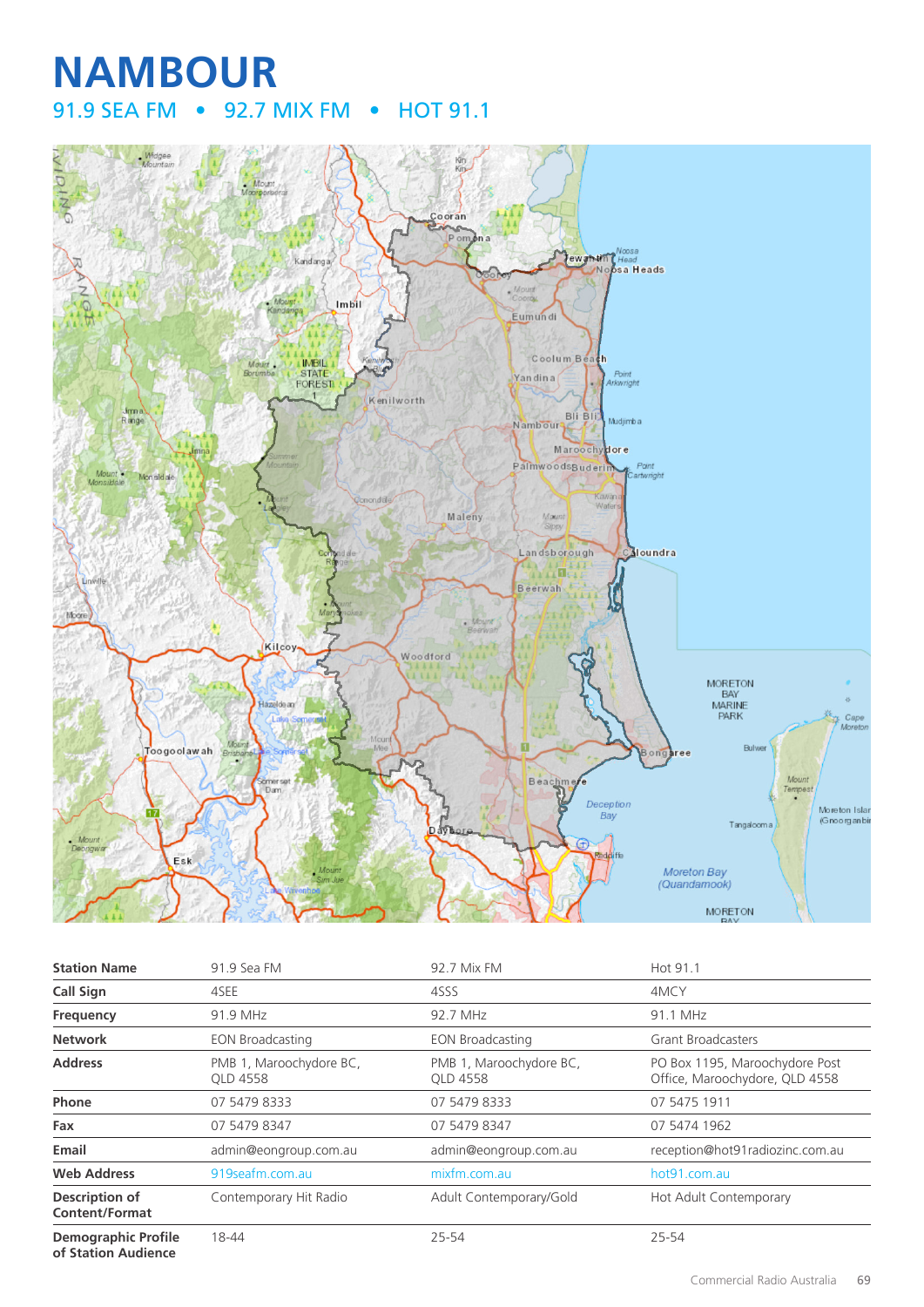# **NAMBOUR** 91.9 SEA FM • 92.7 MIX FM • HOT 91.1



| <b>Station Name</b>                               | 91.9 Sea FM                         | 92.7 Mix FM                         | Hot 91.1                                                         |
|---------------------------------------------------|-------------------------------------|-------------------------------------|------------------------------------------------------------------|
| <b>Call Sign</b>                                  | 4SEE                                | 4SSS                                | 4MCY                                                             |
| Frequency                                         | 91.9 MHz                            | 92.7 MHz                            | 91.1 MHz                                                         |
| <b>Network</b>                                    | <b>EON Broadcasting</b>             | <b>EON Broadcasting</b>             | <b>Grant Broadcasters</b>                                        |
| <b>Address</b>                                    | PMB 1, Maroochydore BC,<br>OLD 4558 | PMB 1, Maroochydore BC,<br>OLD 4558 | PO Box 1195, Maroochydore Post<br>Office, Maroochydore, QLD 4558 |
| Phone                                             | 07 5479 8333                        | 07 5479 8333                        | 07 5475 1911                                                     |
| Fax                                               | 07 5479 8347                        | 07 5479 8347                        | 07 5474 1962                                                     |
| Email                                             | admin@eongroup.com.au               | admin@eongroup.com.au               | reception@hot91radiozinc.com.au                                  |
| <b>Web Address</b>                                | 919 seafm.com.au                    | mixfm.com.au                        | hot91.com.au                                                     |
| Description of<br><b>Content/Format</b>           | Contemporary Hit Radio              | Adult Contemporary/Gold             | Hot Adult Contemporary                                           |
| <b>Demographic Profile</b><br>of Station Audience | 18-44                               | 25-54                               | 25-54                                                            |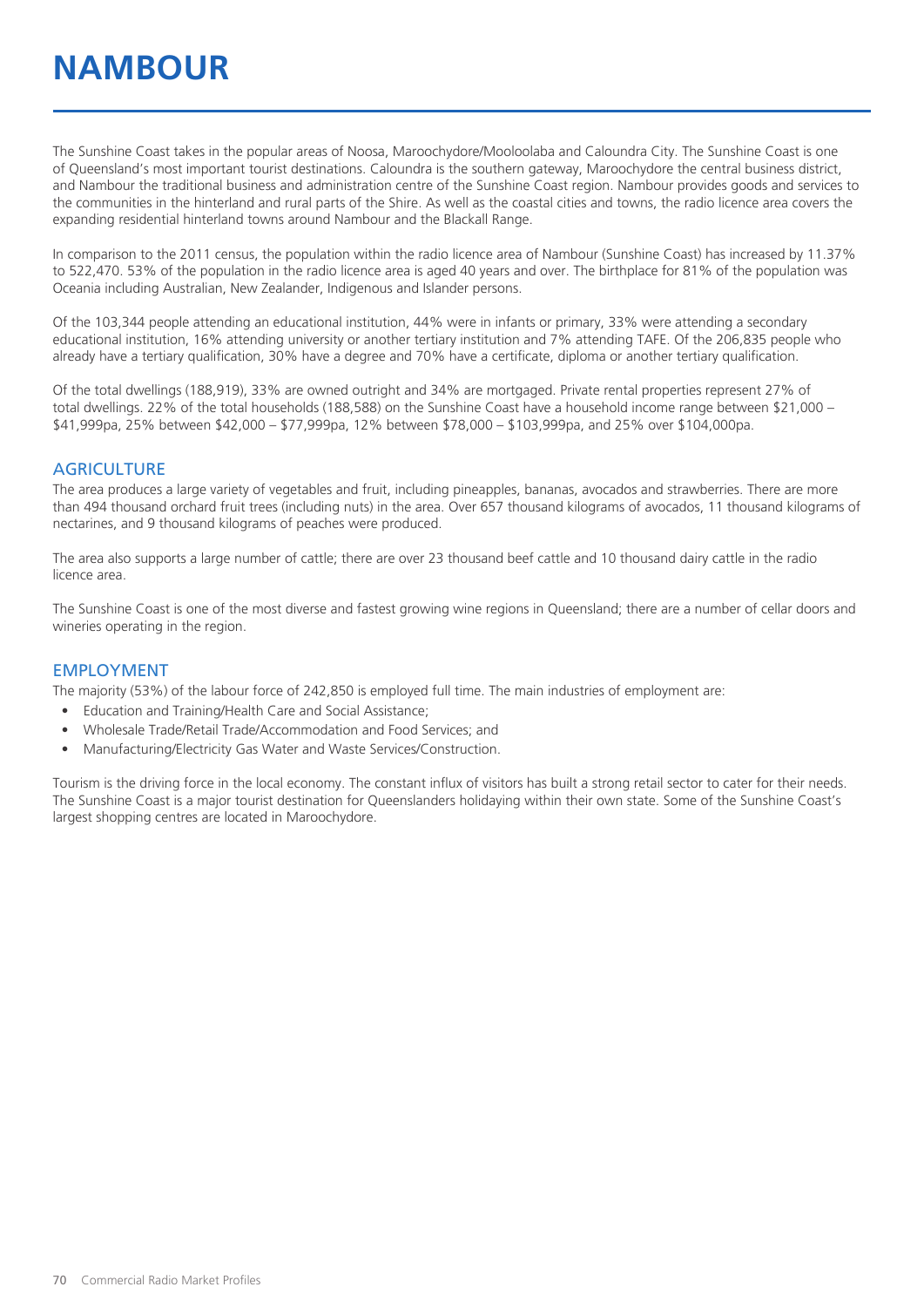The Sunshine Coast takes in the popular areas of Noosa, Maroochydore/Mooloolaba and Caloundra City. The Sunshine Coast is one of Queensland's most important tourist destinations. Caloundra is the southern gateway, Maroochydore the central business district, and Nambour the traditional business and administration centre of the Sunshine Coast region. Nambour provides goods and services to the communities in the hinterland and rural parts of the Shire. As well as the coastal cities and towns, the radio licence area covers the expanding residential hinterland towns around Nambour and the Blackall Range.

In comparison to the 2011 census, the population within the radio licence area of Nambour (Sunshine Coast) has increased by 11.37% to 522,470. 53% of the population in the radio licence area is aged 40 years and over. The birthplace for 81% of the population was Oceania including Australian, New Zealander, Indigenous and Islander persons.

Of the 103,344 people attending an educational institution, 44% were in infants or primary, 33% were attending a secondary educational institution, 16% attending university or another tertiary institution and 7% attending TAFE. Of the 206,835 people who already have a tertiary qualification, 30% have a degree and 70% have a certificate, diploma or another tertiary qualification.

Of the total dwellings (188,919), 33% are owned outright and 34% are mortgaged. Private rental properties represent 27% of total dwellings. 22% of the total households (188,588) on the Sunshine Coast have a household income range between \$21,000 – \$41,999pa, 25% between \$42,000 – \$77,999pa, 12% between \$78,000 – \$103,999pa, and 25% over \$104,000pa.

#### **AGRICULTURE**

The area produces a large variety of vegetables and fruit, including pineapples, bananas, avocados and strawberries. There are more than 494 thousand orchard fruit trees (including nuts) in the area. Over 657 thousand kilograms of avocados, 11 thousand kilograms of nectarines, and 9 thousand kilograms of peaches were produced.

The area also supports a large number of cattle; there are over 23 thousand beef cattle and 10 thousand dairy cattle in the radio licence area.

The Sunshine Coast is one of the most diverse and fastest growing wine regions in Queensland; there are a number of cellar doors and wineries operating in the region.

#### EMPLOYMENT

The majority (53%) of the labour force of 242,850 is employed full time. The main industries of employment are:

- Education and Training/Health Care and Social Assistance;
- Wholesale Trade/Retail Trade/Accommodation and Food Services; and
- Manufacturing/Electricity Gas Water and Waste Services/Construction.

Tourism is the driving force in the local economy. The constant influx of visitors has built a strong retail sector to cater for their needs. The Sunshine Coast is a major tourist destination for Queenslanders holidaying within their own state. Some of the Sunshine Coast's largest shopping centres are located in Maroochydore.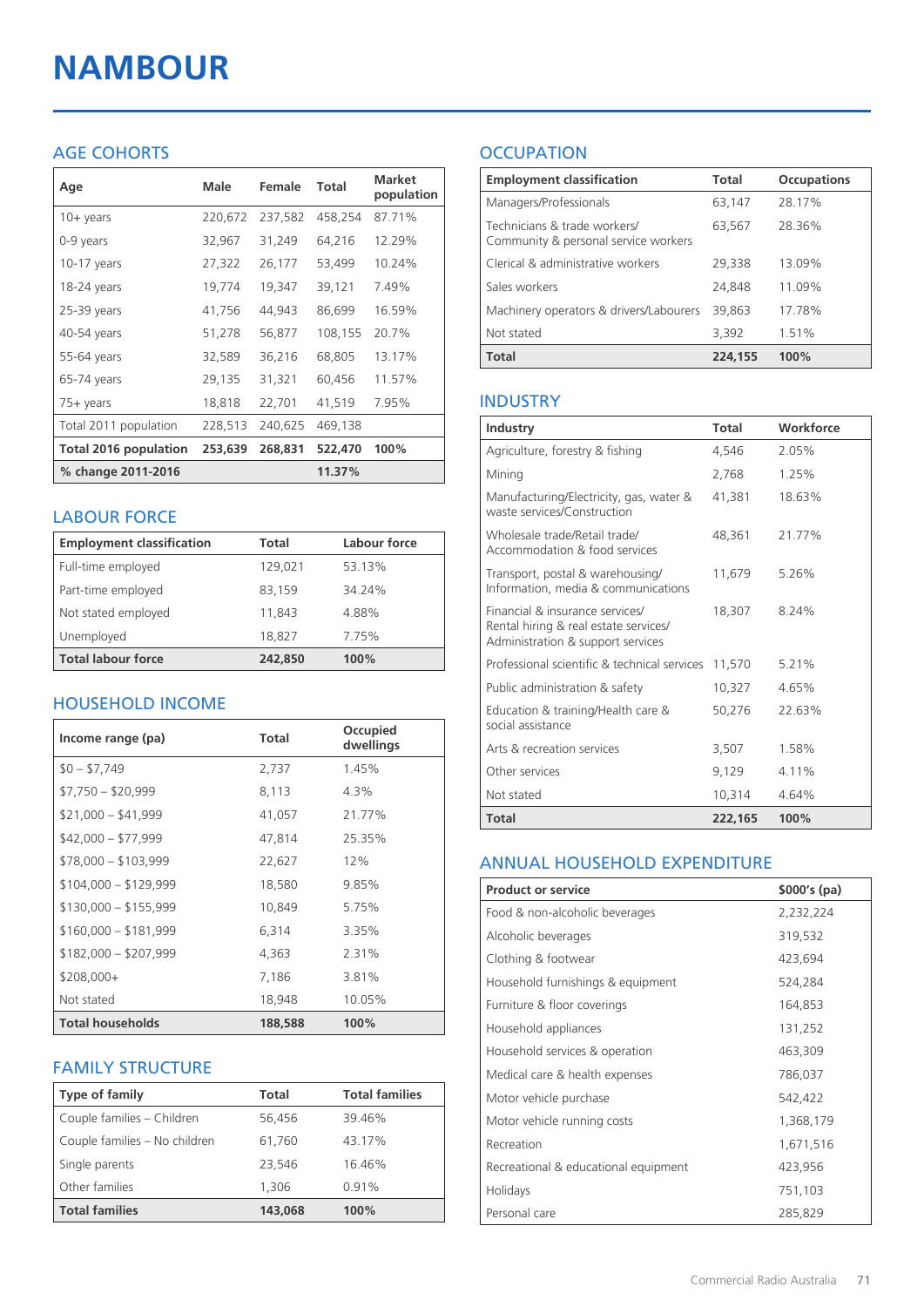# **NAMBOUR**

#### AGE COHORTS

| Age                          | Male    | Female  | <b>Total</b> | <b>Market</b><br>population |
|------------------------------|---------|---------|--------------|-----------------------------|
| $10 + \gamma$ ears           | 220,672 | 237,582 | 458,254      | 87.71%                      |
| 0-9 years                    | 32,967  | 31,249  | 64,216       | 12.29%                      |
| $10-17$ years                | 27,322  | 26,177  | 53,499       | 10.24%                      |
| 18-24 years                  | 19,774  | 19,347  | 39,121       | 7.49%                       |
| 25-39 years                  | 41,756  | 44,943  | 86,699       | 16.59%                      |
| 40-54 years                  | 51,278  | 56,877  | 108,155      | 20.7%                       |
| 55-64 years                  | 32,589  | 36,216  | 68,805       | 13.17%                      |
| 65-74 years                  | 29,135  | 31,321  | 60,456       | 11.57%                      |
| $75+$ years                  | 18,818  | 22,701  | 41,519       | 7.95%                       |
| Total 2011 population        | 228,513 | 240,625 | 469,138      |                             |
| <b>Total 2016 population</b> | 253,639 | 268,831 | 522,470      | 100%                        |
| % change 2011-2016           |         |         | 11.37%       |                             |

#### LABOUR FORCE

| <b>Employment classification</b> | Total   | Labour force |
|----------------------------------|---------|--------------|
| Full-time employed               | 129,021 | 53.13%       |
| Part-time employed               | 83,159  | 34.24%       |
| Not stated employed              | 11,843  | 4.88%        |
| Unemployed                       | 18,827  | 7.75%        |
| <b>Total labour force</b>        | 242,850 | 100%         |

#### HOUSEHOLD INCOME

| Income range (pa)       | <b>Total</b> | Occupied<br>dwellings |
|-------------------------|--------------|-----------------------|
| $$0 - $7,749$           | 2,737        | 1.45%                 |
| $$7,750 - $20,999$      | 8,113        | 4.3%                  |
| $$21,000 - $41,999$     | 41,057       | 21.77%                |
| $$42,000 - $77,999$     | 47,814       | 25.35%                |
| $$78,000 - $103,999$    | 22,627       | 12%                   |
| $$104,000 - $129,999$   | 18,580       | 9.85%                 |
| $$130,000 - $155,999$   | 10,849       | 5.75%                 |
| $$160,000 - $181,999$   | 6,314        | 3.35%                 |
| $$182,000 - $207,999$   | 4,363        | 2.31%                 |
| $$208,000+$             | 7,186        | 3.81%                 |
| Not stated              | 18,948       | 10.05%                |
| <b>Total households</b> | 188,588      | 100%                  |

#### FAMILY STRUCTURE

| Type of family                | Total   | <b>Total families</b> |
|-------------------------------|---------|-----------------------|
| Couple families - Children    | 56,456  | 39.46%                |
| Couple families - No children | 61.760  | 43.17%                |
| Single parents                | 23,546  | 16.46%                |
| Other families                | 1,306   | 0.91%                 |
| <b>Total families</b>         | 143,068 | 100%                  |

### **OCCUPATION**

| <b>Employment classification</b>                                     | <b>Total</b> | <b>Occupations</b> |
|----------------------------------------------------------------------|--------------|--------------------|
| Managers/Professionals                                               | 63,147       | 28.17%             |
| Technicians & trade workers/<br>Community & personal service workers | 63,567       | 28.36%             |
| Clerical & administrative workers                                    | 29,338       | 13.09%             |
| Sales workers                                                        | 24,848       | 11.09%             |
| Machinery operators & drivers/Labourers                              | 39.863       | 17.78%             |
| Not stated                                                           | 3,392        | 1.51%              |
| <b>Total</b>                                                         | 224,155      | 100%               |

#### INDUSTRY

| Industry                                                                                                      | <b>Total</b> | Workforce |
|---------------------------------------------------------------------------------------------------------------|--------------|-----------|
| Agriculture, forestry & fishing                                                                               | 4.546        | 2.05%     |
| Mining                                                                                                        | 2,768        | 1.25%     |
| Manufacturing/Electricity, gas, water &<br>waste services/Construction                                        | 41,381       | 18.63%    |
| Wholesale trade/Retail trade/<br>Accommodation & food services                                                | 48,361       | 21.77%    |
| Transport, postal & warehousing/<br>Information, media & communications                                       | 11,679       | 5.26%     |
| Financial & insurance services/<br>Rental hiring & real estate services/<br>Administration & support services | 18,307       | 8.24%     |
| Professional scientific & technical services                                                                  | 11,570       | 5.21%     |
| Public administration & safety                                                                                | 10,327       | 4.65%     |
| Education & training/Health care &<br>social assistance                                                       | 50,276       | 22.63%    |
| Arts & recreation services                                                                                    | 3,507        | 1.58%     |
| Other services                                                                                                | 9,129        | 4.11%     |
| Not stated                                                                                                    | 10.314       | 4.64%     |
| Total                                                                                                         | 222,165      | 100%      |

#### ANNUAL HOUSEHOLD EXPENDITURE

| <b>Product or service</b>            | $$000's$ (pa) |
|--------------------------------------|---------------|
| Food & non-alcoholic beverages       | 2,232,224     |
| Alcoholic beverages                  | 319,532       |
| Clothing & footwear                  | 423,694       |
| Household furnishings & equipment    | 524,284       |
| Furniture & floor coverings          | 164,853       |
| Household appliances                 | 131,252       |
| Household services & operation       | 463,309       |
| Medical care & health expenses       | 786,037       |
| Motor vehicle purchase               | 542,422       |
| Motor vehicle running costs          | 1,368,179     |
| Recreation                           | 1,671,516     |
| Recreational & educational equipment | 423,956       |
| Holidays                             | 751,103       |
| Personal care                        | 285,829       |